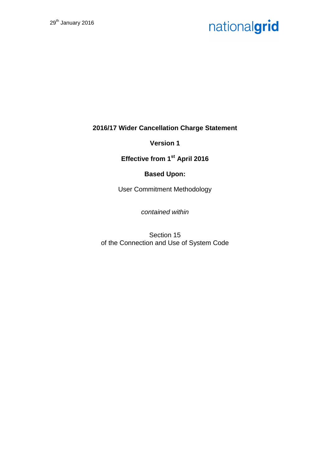**2016/17 Wider Cancellation Charge Statement**

**Version 1**

**Effective from 1st April 2016**

### **Based Upon:**

User Commitment Methodology

*contained within*

Section 15 of the Connection and Use of System Code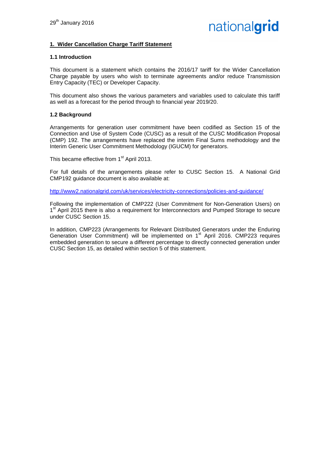#### **1. Wider Cancellation Charge Tariff Statement**

#### **1.1 Introduction**

This document is a statement which contains the 2016/17 tariff for the Wider Cancellation Charge payable by users who wish to terminate agreements and/or reduce Transmission Entry Capacity (TEC) or Developer Capacity.

This document also shows the various parameters and variables used to calculate this tariff as well as a forecast for the period through to financial year 2019/20.

#### **1.2 Background**

Arrangements for generation user commitment have been codified as Section 15 of the Connection and Use of System Code (CUSC) as a result of the CUSC Modification Proposal (CMP) 192. The arrangements have replaced the interim Final Sums methodology and the Interim Generic User Commitment Methodology (IGUCM) for generators.

This became effective from 1<sup>st</sup> April 2013.

For full details of the arrangements please refer to CUSC Section 15. A National Grid CMP192 guidance document is also available at:

<http://www2.nationalgrid.com/uk/services/electricity-connections/policies-and-guidance/>

Following the implementation of CMP222 (User Commitment for Non-Generation Users) on 1<sup>st</sup> April 2015 there is also a requirement for Interconnectors and Pumped Storage to secure under CUSC Section 15.

In addition, CMP223 (Arrangements for Relevant Distributed Generators under the Enduring Generation User Commitment) will be implemented on 1<sup>st</sup> April 2016. CMP223 requires embedded generation to secure a different percentage to directly connected generation under CUSC Section 15, as detailed within section 5 of this statement.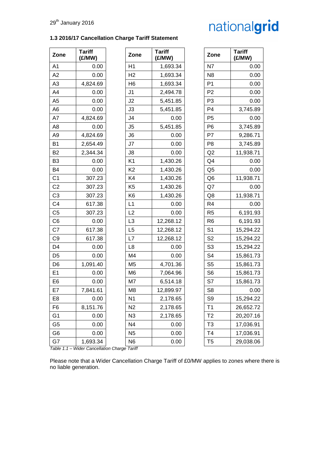| Zone           | <b>Tariff</b><br>(E/MW) | Zone           | <b>Tariff</b><br>(E/MW) | Zone           | <b>Tariff</b><br>(E/MW) |
|----------------|-------------------------|----------------|-------------------------|----------------|-------------------------|
| A <sub>1</sub> | 0.00                    | H1             | 1,693.34                | N7             | 0.00                    |
| A2             | 0.00                    | H <sub>2</sub> | 1,693.34                | N <sub>8</sub> | 0.00                    |
| A <sub>3</sub> | 4,824.69                | H <sub>6</sub> | 1,693.34                | P <sub>1</sub> | 0.00                    |
| A4             | 0.00                    | J <sub>1</sub> | 2,494.78                | P <sub>2</sub> | 0.00                    |
| A <sub>5</sub> | 0.00                    | J2             | 5,451.85                | P <sub>3</sub> | 0.00                    |
| A <sub>6</sub> | 0.00                    | J3             | 5,451.85                | P <sub>4</sub> | 3,745.89                |
| A7             | 4,824.69                | J <sub>4</sub> | 0.00                    | P <sub>5</sub> | 0.00                    |
| A <sub>8</sub> | 0.00                    | J <sub>5</sub> | 5,451.85                | P <sub>6</sub> | 3,745.89                |
| A <sub>9</sub> | 4,824.69                | J6             | 0.00                    | P7             | 9,286.71                |
| B <sub>1</sub> | 2,654.49                | J7             | 0.00                    | P <sub>8</sub> | 3,745.89                |
| B <sub>2</sub> | 2,344.34                | J8             | 0.00                    | Q2             | 11,938.71               |
| B <sub>3</sub> | 0.00                    | K <sub>1</sub> | 1,430.26                | Q <sub>4</sub> | 0.00                    |
| B <sub>4</sub> | 0.00                    | K <sub>2</sub> | 1,430.26                | Q <sub>5</sub> | 0.00                    |
| C <sub>1</sub> | 307.23                  | K4             | 1,430.26                | Q <sub>6</sub> | 11,938.71               |
| C <sub>2</sub> | 307.23                  | K <sub>5</sub> | 1,430.26                | Q7             | 0.00                    |
| C <sub>3</sub> | 307.23                  | K <sub>6</sub> | 1,430.26                | Q8             | 11,938.71               |
| C <sub>4</sub> | 617.38                  | L1             | 0.00                    | R4             | 0.00                    |
| C <sub>5</sub> | 307.23                  | L2             | 0.00                    | R <sub>5</sub> | 6,191.93                |
| C <sub>6</sub> | 0.00                    | L <sub>3</sub> | 12,268.12               | R <sub>6</sub> | 6,191.93                |
| C7             | 617.38                  | L <sub>5</sub> | 12,268.12               | S <sub>1</sub> | 15,294.22               |
| C <sub>9</sub> | 617.38                  | L7             | 12,268.12               | S <sub>2</sub> | 15,294.22               |
| D <sub>4</sub> | 0.00                    | L8             | 0.00                    | S <sub>3</sub> | 15,294.22               |
| D <sub>5</sub> | 0.00                    | M4             | 0.00                    | S <sub>4</sub> | 15,861.73               |
| D <sub>6</sub> | 1,091.40                | M <sub>5</sub> | 4,701.36                | S <sub>5</sub> | 15,861.73               |
| E1             | 0.00                    | M <sub>6</sub> | 7,064.96                | S <sub>6</sub> | 15,861.73               |
| E <sub>6</sub> | 0.00                    | M7             | 6,514.18                | S7             | 15,861.73               |
| E7             | 7,841.61                | M <sub>8</sub> | 12,899.97               | S <sub>8</sub> | 0.00                    |
| E <sub>8</sub> | 0.00                    | N <sub>1</sub> | 2,178.65                | S <sub>9</sub> | 15,294.22               |
| F <sub>6</sub> | 8,151.76                | N <sub>2</sub> | 2,178.65                | T1             | 26,652.72               |
| G <sub>1</sub> | 0.00                    | N <sub>3</sub> | 2,178.65                | T <sub>2</sub> | 20,207.16               |
| G <sub>5</sub> | 0.00                    | N <sub>4</sub> | 0.00                    | T <sub>3</sub> | 17,036.91               |
| G <sub>6</sub> | 0.00                    | N <sub>5</sub> | 0.00                    | T <sub>4</sub> | 17,036.91               |

**1.3 2016/17 Cancellation Charge Tariff Statement**

| N7             | 0.00      |
|----------------|-----------|
| N8             | 0.00      |
| Ρ1             | 0.00      |
| P2             | 0.00      |
| P3             | 0.00      |
| P4             | 3,745.89  |
| P5             | 0.00      |
| P6             | 3,745.89  |
| P7             | 9,286.71  |
| P8             | 3,745.89  |
| Q2             | 11,938.71 |
| Q4             | 0.00      |
| Q5             | 0.00      |
| Q6             | 11,938.71 |
| Q7             | 0.00      |
| Q8             | 11,938.71 |
| R4             | 0.00      |
| R5             | 6,191.93  |
| R6             | 6,191.93  |
| S1             | 15,294.22 |
| S2             | 15,294.22 |
| S3             | 15,294.22 |
| S4             | 15,861.73 |
| S5             | 15,861.73 |
| S <sub>6</sub> | 15,861.73 |
| S7             | 15,861.73 |
| S8             | 0.00      |
| S9             | 15,294.22 |
| T1             | 26,652.72 |
| T <sub>2</sub> | 20,207.16 |
| T <sub>3</sub> | 17,036.91 |
| Τ4             | 17,036.91 |
| T5             | 29,038.06 |
|                |           |

*Table 1.1 – Wider Cancellation Charge Tariff*

G7 | 1,693.34 | N6 | 0.00

Please note that a Wider Cancellation Charge Tariff of £0/MW applies to zones where there is no liable generation.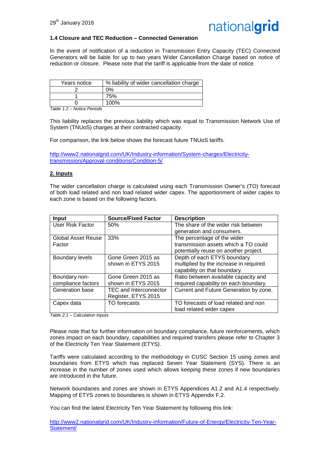

#### **1.4 Closure and TEC Reduction – Connected Generation**

In the event of notification of a reduction in Transmission Entry Capacity (TEC) Connected Generators will be liable for up to two years Wider Cancellation Charge based on notice of reduction or closure. Please note that the tariff is applicable from the date of notice.

| Years notice | % liability of wider cancellation charge |
|--------------|------------------------------------------|
|              | 0%                                       |
|              | 75%                                      |
|              | 100%                                     |

*Table 1.2 – Notice Periods*

This liability replaces the previous liability which was equal to Transmission Network Use of System (TNUoS) charges at their contracted capacity.

For comparison, the link below shows the forecast future TNUoS tariffs.

[http://www2.nationalgrid.com/UK/Industry-information/System-charges/Electricity](http://www2.nationalgrid.com/UK/Industry-information/System-charges/Electricity-transmission/Approval-conditions/Condition-5/)[transmission/Approval-conditions/Condition-5/](http://www2.nationalgrid.com/UK/Industry-information/System-charges/Electricity-transmission/Approval-conditions/Condition-5/)

#### **2. Inputs**

The wider cancellation charge is calculated using each Transmission Owner's (TO) forecast of both load related and non load related wider capex. The apportionment of wider capex to each zone is based on the following factors.

| <b>Input</b>           | <b>Source/Fixed Factor</b>    | <b>Description</b>                     |
|------------------------|-------------------------------|----------------------------------------|
| User Risk Factor       | 50%                           | The share of the wider risk between    |
|                        |                               | generation and consumers.              |
| Global Asset Reuse     | 33%                           | The percentage of the wider            |
| Factor                 |                               | transmission assets which a TO could   |
|                        |                               | potentially reuse on another project.  |
| <b>Boundary levels</b> | Gone Green 2015 as            | Depth of each ETYS boundary            |
|                        | shown in ETYS 2015            | multiplied by the increase in required |
|                        |                               | capability on that boundary.           |
| Boundary non-          | Gone Green 2015 as            | Ratio between available capacity and   |
| compliance factors     | shown in ETYS 2015            | required capability on each boundary.  |
| Generation base        | <b>TEC and Interconnector</b> | Current and Future Generation by zone. |
|                        | Register, ETYS 2015           |                                        |
| Capex data             | TO forecasts                  | TO forecasts of load related and non   |
|                        |                               | load related wider capex               |

*Table 2.1 – Calculation Inputs*

Please note that for further information on boundary compliance, future reinforcements, which zones impact on each boundary, capabilities and required transfers please refer to Chapter 3 of the Electricity Ten Year Statement (ETYS).

Tariffs were calculated according to the methodology in CUSC Section 15 using zones and boundaries from ETYS which has replaced Seven Year Statement (SYS). There is an increase in the number of zones used which allows keeping these zones if new boundaries are introduced in the future.

Network boundaries and zones are shown in ETYS Appendices A1.2 and A1.4 respectively. Mapping of ETYS zones to boundaries is shown in ETYS Appendix F.2.

You can find the latest Electricity Ten Year Statement by following this link:

[http://www2.nationalgrid.com/UK/Industry-information/Future-of-Energy/Electricity-Ten-Year-](http://www2.nationalgrid.com/UK/Industry-information/Future-of-Energy/Electricity-Ten-Year-Statement/)[Statement/](http://www2.nationalgrid.com/UK/Industry-information/Future-of-Energy/Electricity-Ten-Year-Statement/)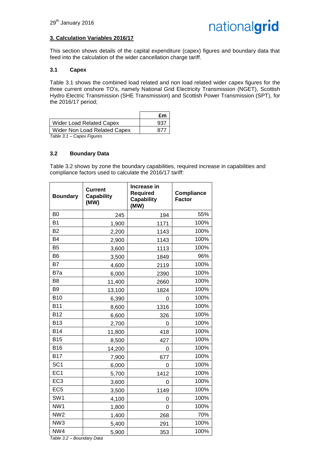#### **3. Calculation Variables 2016/17**

This section shows details of the capital expenditure (capex) figures and boundary data that feed into the calculation of the wider cancellation charge tariff.

#### **3.1 Capex**

Table 3.1 shows the combined load related and non load related wider capex figures for the three current onshore TO's, namely National Grid Electricity Transmission (NGET), Scottish Hydro Electric Transmission (SHE Transmission) and Scottish Power Transmission (SPT), for the 2016/17 period;

|                              | £m  |
|------------------------------|-----|
| Wider Load Related Capex     | 937 |
| Wider Non Load Related Capex | 877 |
| Table 3.1 – Capex Figures    |     |

#### **3.2 Boundary Data**

Table 3.2 shows by zone the boundary capabilities, required increase in capabilities and compliance factors used to calculate the 2016/17 tariff:

| <b>Boundary</b>     | <b>Current</b><br><b>Capability</b><br>(MW) | Increase in<br><b>Required</b><br><b>Capability</b><br>(MW) | <b>Compliance</b><br><b>Factor</b> |
|---------------------|---------------------------------------------|-------------------------------------------------------------|------------------------------------|
| B <sub>0</sub>      | 245                                         | 194                                                         | 55%                                |
| <b>B1</b>           | 1,900                                       | 1171                                                        | 100%                               |
| B <sub>2</sub>      | 2,200                                       | 1143                                                        | 100%                               |
| B <sub>4</sub>      | 2,900                                       | 1143                                                        | 100%                               |
| B <sub>5</sub>      | 3,600                                       | 1113                                                        | 100%                               |
| B <sub>6</sub>      | 3,500                                       | 1849                                                        | 96%                                |
| <b>B7</b>           | 4,600                                       | 2119                                                        | 100%                               |
| B7a                 | 6,000                                       | 2390                                                        | 100%                               |
| B <sub>8</sub>      | 11,400                                      | 2660                                                        | 100%                               |
| B <sub>9</sub>      | 13,100                                      | 1824                                                        | 100%                               |
| <b>B10</b>          | 6,390                                       | 0                                                           | 100%                               |
| <b>B11</b>          | 8,600                                       | 1316                                                        | 100%                               |
| <b>B12</b>          | 6,600                                       | 326                                                         | 100%                               |
| <b>B13</b>          | 2,700                                       | 0                                                           | 100%                               |
| <b>B14</b>          | 11,800                                      | 418                                                         | 100%                               |
| <b>B15</b>          | 8,500                                       | 427                                                         | 100%                               |
| <b>B16</b>          | 14,200                                      | 0                                                           | 100%                               |
| <b>B17</b>          | 7,900                                       | 677                                                         | 100%                               |
| SC <sub>1</sub>     | 6,000                                       | 0                                                           | 100%                               |
| EC <sub>1</sub>     | 5,700                                       | 1412                                                        | 100%                               |
| EC <sub>3</sub>     | 3,600                                       | 0                                                           | 100%                               |
| EC <sub>5</sub>     | 3,500                                       | 1149                                                        | 100%                               |
| SW <sub>1</sub>     | 4,100                                       | 0                                                           | 100%                               |
| NW1                 | 1,800                                       | 0                                                           | 100%                               |
| NW <sub>2</sub>     | 1,400                                       | 268                                                         | 70%                                |
| NW <sub>3</sub>     | 5,400                                       | 291                                                         | 100%                               |
| NW4<br>$5 - 1 - 20$ | 5,900<br>$l = m \cdot D = 0$                | 353                                                         | 100%                               |

*Table 3.2 – Boundary Data*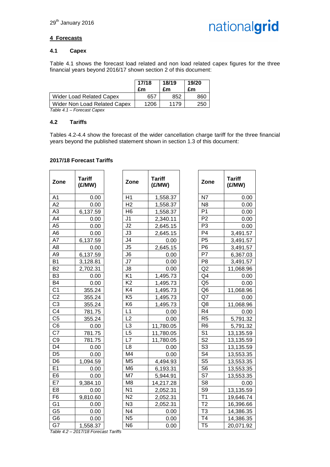

#### **4 Forecasts**

#### **4.1 Capex**

Table 4.1 shows the forecast load related and non load related capex figures for the three financial years beyond 2016/17 shown section 2 of this document:

|                              | 17/18<br>£m | 18/19<br>£m | 19/20<br>£m |
|------------------------------|-------------|-------------|-------------|
| Wider Load Related Capex     | 657         | 852         | 860         |
| Wider Non Load Related Capex | 1206        | 1179        | 250         |

*Table 4.1 – Forecast Capex*

#### **4.2 Tariffs**

Tables 4.2-4.4 show the forecast of the wider cancellation charge tariff for the three financial years beyond the published statement shown in section 1.3 of this document:

#### **2017/18 Forecast Tariffs**

| Zone            | <b>Tariff</b><br>(E/MW) | Zone            | <b>Tariff</b><br>(E/MW) | Zone                      | <b>Tariff</b><br>(E/MW) |
|-----------------|-------------------------|-----------------|-------------------------|---------------------------|-------------------------|
| A <sub>1</sub>  | 0.00                    | H1              | 1,558.37                | N7                        | 0.00                    |
| A2              | 0.00                    | H <sub>2</sub>  | 1,558.37                | N <sub>8</sub>            | 0.00                    |
| A <sub>3</sub>  | 6,137.59                | H <sub>6</sub>  | 1,558.37                | P <sub>1</sub>            | 0.00                    |
| A4              | 0.00                    | J <sub>1</sub>  | 2,340.11                | P <sub>2</sub>            | 0.00                    |
| A <sub>5</sub>  | 0.00                    | J2              | 2,645.15                | P <sub>3</sub>            | 0.00                    |
| A <sub>6</sub>  | 0.00                    | J3              | 2,645.15                | P <sub>4</sub>            | 3,491.57                |
| A7              | 6,137.59                | J4              | 0.00                    | P <sub>5</sub>            | 3,491.57                |
| A <sub>8</sub>  | 0.00                    | J5              | 2,645.15                | P <sub>6</sub>            | 3,491.57                |
| A <sub>9</sub>  | 6,137.59                | J6              | 0.00                    | P7                        | 6,367.03                |
| <b>B1</b>       | 3,128.81                | J7              | 0.00                    | P <sub>8</sub>            | 3,491.57                |
| <b>B2</b>       | 2,702.31                | J8              | 0.00                    | Q2                        | 11,068.96               |
| B <sub>3</sub>  | 0.00                    | K <sub>1</sub>  | 1,495.73                | Q4                        | 0.00                    |
| <b>B4</b>       | 0.00                    | K <sub>2</sub>  | 1,495.73                | Q <sub>5</sub>            | 0.00                    |
| C <sub>1</sub>  | 355.24                  | K4              | 1,495.73                | Q <sub>6</sub>            | 11,068.96               |
| C <sub>2</sub>  | 355.24                  | K <sub>5</sub>  | 1,495.73                | Q7                        | 0.00                    |
| C <sub>3</sub>  | 355.24                  | K <sub>6</sub>  | 1,495.73                | Q8                        | 11,068.96               |
| C <sub>4</sub>  | 781.75                  | L1              | 0.00                    | R4                        | 0.00                    |
| C <sub>5</sub>  | 355.24                  | L2              | 0.00                    | R <sub>5</sub>            | 5,791.32                |
| C <sub>6</sub>  | 0.00                    | L <sub>3</sub>  | 11,780.05               | R <sub>6</sub>            | 5,791.32                |
| $\overline{C7}$ | 781.75                  | $\overline{L5}$ | 11,780.05               | $\overline{\mathsf{S}^1}$ | 13,135.59               |
| C <sub>9</sub>  | 781.75                  | L7              | 11,780.05               | $\overline{\text{S2}}$    | 13,135.59               |
| D <sub>4</sub>  | 0.00                    | L <sub>8</sub>  | 0.00                    | $\overline{\mathsf{S}3}$  | 13,135.59               |
| D <sub>5</sub>  | 0.00                    | M4              | 0.00                    | S <sub>4</sub>            | 13,553.35               |
| D <sub>6</sub>  | 1,094.59                | M <sub>5</sub>  | 4,494.93                | S <sub>5</sub>            | 13,553.35               |
| E <sub>1</sub>  | 0.00                    | M <sub>6</sub>  | 6,193.31                | S <sub>6</sub>            | 13,553.35               |
| E <sub>6</sub>  | 0.00                    | M7              | 5,944.91                | S7                        | 13,553.35               |
| E7              | 9,384.10                | M <sub>8</sub>  | 14,217.28               | S <sub>8</sub>            | 0.00                    |
| E <sub>8</sub>  | 0.00                    | N <sub>1</sub>  | 2,052.31                | S9                        | 13,135.59               |
| F <sub>6</sub>  | 9,810.60                | N <sub>2</sub>  | 2,052.31                | T <sub>1</sub>            | 19,646.74               |
| G <sub>1</sub>  | 0.00                    | N3              | 2,052.31                | T <sub>2</sub>            | 16,396.66               |
| G <sub>5</sub>  | 0.00                    | N <sub>4</sub>  | 0.00                    | T <sub>3</sub>            | 14,386.35               |
| G <sub>6</sub>  | 0.00                    | $\overline{N5}$ | 0.00                    | T <sub>4</sub>            | 14,386.35               |
| G7              | 1,558.37                | N <sub>6</sub>  | 0.00                    | T <sub>5</sub>            | 20,071.92               |
|                 |                         |                 |                         |                           |                         |

*Table 4.2 – 2017/18 Forecast Tariffs*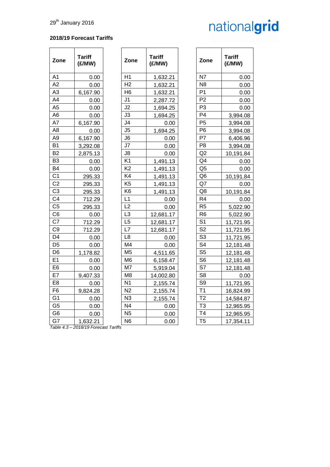#### **2018/19 Forecast Tariffs**

| Zone            | <b>Tariff</b><br>(E/MW) | Zone           | <b>Tariff</b><br>(E/MW) | Zone           | <b>Tariff</b><br>(£/MW) |
|-----------------|-------------------------|----------------|-------------------------|----------------|-------------------------|
| A1              | 0.00                    | H1             | 1,632.21                | N7             | 0.00                    |
| A2              | 0.00                    | H <sub>2</sub> | 1,632.21                | N <sub>8</sub> | 0.00                    |
| A3              | 6,167.90                | H <sub>6</sub> | 1,632.21                | P <sub>1</sub> | 0.00                    |
| A4              | 0.00                    | J <sub>1</sub> | 2,287.72                | P <sub>2</sub> | 0.00                    |
| A5              | 0.00                    | J2             | 1,694.25                | P <sub>3</sub> | 0.00                    |
| A6              | 0.00                    | J3             | 1,694.25                | P <sub>4</sub> | 3,994.08                |
| A7              | 6,167.90                | J4             | 0.00                    | P <sub>5</sub> | 3,994.08                |
| A8              | 0.00                    | J5             | 1,694.25                | P <sub>6</sub> | 3,994.08                |
| A9              | 6,167.90                | J6             | 0.00                    | P7             | 6,406.96                |
| B1              | 3,292.08                | J7             | 0.00                    | P <sub>8</sub> | 3,994.08                |
| B2              | 2,875.13                | J8             | 0.00                    | Q2             | 10,191.84               |
| B3              | 0.00                    | K <sub>1</sub> | 1,491.13                | Q <sub>4</sub> | 0.00                    |
| B4              | 0.00                    | K <sub>2</sub> | 1,491.13                | Q <sub>5</sub> | 0.00                    |
| C <sub>1</sub>  | 295.33                  | K4             | 1,491.13                | Q6             | 10,191.84               |
| $\overline{C2}$ | 295.33                  | K <sub>5</sub> | 1,491.13                | Q7             | 0.00                    |
| C <sub>3</sub>  | 295.33                  | K <sub>6</sub> | 1,491.13                | Q8             | 10,191.84               |
| C4              | 712.29                  | L1             | 0.00                    | R4             | 0.00                    |
| C <sub>5</sub>  | 295.33                  | L2             | 0.00                    | R <sub>5</sub> | 5,022.90                |
| C6              | 0.00                    | L <sub>3</sub> | 12,681.17               | R <sub>6</sub> | 5,022.90                |
| C7              | 712.29                  | L5             | 12,681.17               | S <sub>1</sub> | 11,721.95               |
| C9              | 712.29                  | L7             | 12,681.17               | S <sub>2</sub> | 11,721.95               |
| D4              | 0.00                    | L <sub>8</sub> | 0.00                    | S <sub>3</sub> | 11,721.95               |
| D <sub>5</sub>  | 0.00                    | M4             | 0.00                    | S <sub>4</sub> | 12,181.48               |
| D6              | 1,178.82                | M <sub>5</sub> | 4,511.65                | S <sub>5</sub> | 12,181.48               |
| E <sub>1</sub>  | 0.00                    | M <sub>6</sub> | 6,158.47                | S <sub>6</sub> | 12,181.48               |
| E6              | 0.00                    | M7             | 5,919.04                | S7             | 12,181.48               |
| E7              | 9,407.33                | M <sub>8</sub> | 14,002.80               | S <sub>8</sub> | 0.00                    |
| E8              | 0.00                    | N <sub>1</sub> | 2,155.74                | S <sub>9</sub> | 11,721.95               |
| F <sub>6</sub>  | 9,824.28                | N <sub>2</sub> | 2,155.74                | T <sub>1</sub> | 16,824.99               |
| G1              | 0.00                    | N <sub>3</sub> | 2,155.74                | T <sub>2</sub> | 14,584.87               |
| G5              | 0.00                    | N <sub>4</sub> | 0.00                    | T <sub>3</sub> | 12,965.95               |
| G6              | 0.00                    | N <sub>5</sub> | 0.00                    | T <sub>4</sub> | 12,965.95               |
| G7              | 1,632.21                | N <sub>6</sub> | 0.00                    | T <sub>5</sub> | 17,354.11               |

| <b>Tariff</b><br>(£/MW) | Zone           | <b>Tariff</b><br>(£/MW) |
|-------------------------|----------------|-------------------------|
| 1,632.21                | N7             | 0.00                    |
| 1,632.21                | N8             | 0.00                    |
| 1,632.21                | P <sub>1</sub> | 0.00                    |
| 2,287.72                | P <sub>2</sub> | 0.00                    |
| 1,694.25                | P <sub>3</sub> | 0.00                    |
| 1,694.25                | P <sub>4</sub> | 3,994.08                |
| 0.00                    | P <sub>5</sub> | 3,994.08                |
| 1,694.25                | P <sub>6</sub> | 3,994.08                |
| 0.00                    | P7             | 6,406.96                |
| 0.00                    | P8             | 3,994.08                |
| 0.00                    | Q <sub>2</sub> | 10,191.84               |
| 1,491.13                | Q4             | 0.00                    |
| 1,491.13                | Q <sub>5</sub> | 0.00                    |
| 1,491.13                | Q <sub>6</sub> | 10,191.84               |
| 1,491.13                | Q7             | 0.00                    |
| 1,491.13                | Q8             | 10,191.84               |
| 0.00                    | R <sub>4</sub> | 0.00                    |
| 0.00                    | R <sub>5</sub> | 5,022.90                |
| 12,681.17               | R <sub>6</sub> | 5,022.90                |
| 12,681.17               | S <sub>1</sub> | 11,721.95               |
| 12,681.17               | S <sub>2</sub> | 11,721.95               |
| 0.00                    | S <sub>3</sub> | 11,721.95               |
| 0.00                    | S <sub>4</sub> | 12,181.48               |
| 4,511.65                | S <sub>5</sub> | 12,181.48               |
| 6,158.47                | S <sub>6</sub> | 12,181.48               |
| 5,919.04                | S7             | 12,181.48               |
| 14,002.80               | S <sub>8</sub> | 0.00                    |
| 2,155.74                | S9             | 11,721.95               |
| 2,155.74                | T1             | 16,824.99               |
| 2,155.74                | T <sub>2</sub> | 14,584.87               |
| 0.00                    | T <sub>3</sub> | 12,965.95               |
| 0.00                    | T4             | 12,965.95               |
| 0.00                    | T5             | 17,354.11               |

*Table 4.3 – 2018/19 Forecast Tariffs*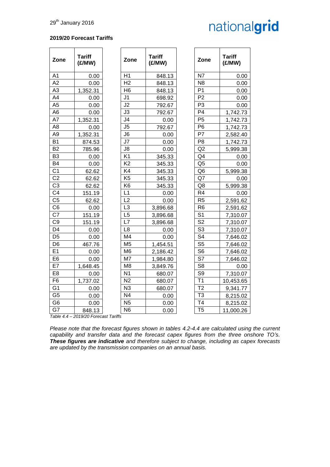#### **2019/20 Forecast Tariffs**

| Zone           | <b>Tariff</b><br>(E/MW)                        | Zone           | <b>Tariff</b><br>(E/MW) | Zone           | <b>Tariff</b><br>(E/MW) |
|----------------|------------------------------------------------|----------------|-------------------------|----------------|-------------------------|
| A <sub>1</sub> | 0.00                                           | H1             | 848.13                  | N7             | 0.00                    |
| A2             | 0.00                                           | H <sub>2</sub> | 848.13                  | N <sub>8</sub> | 0.00                    |
| A <sub>3</sub> | 1,352.31                                       | H <sub>6</sub> | 848.13                  | P <sub>1</sub> | 0.00                    |
| A4             | 0.00                                           | J <sub>1</sub> | 698.92                  | P <sub>2</sub> | 0.00                    |
| A <sub>5</sub> | 0.00                                           | J2             | 792.67                  | P <sub>3</sub> | 0.00                    |
| A <sub>6</sub> | 0.00                                           | J3             | 792.67                  | P <sub>4</sub> | 1,742.73                |
| A7             | 1,352.31                                       | J4             | 0.00                    | P <sub>5</sub> | 1,742.73                |
| A <sub>8</sub> | 0.00                                           | J <sub>5</sub> | 792.67                  | P <sub>6</sub> | 1,742.73                |
| A <sub>9</sub> | 1,352.31                                       | J <sub>6</sub> | 0.00                    | P7             | 2,582.40                |
| <b>B1</b>      | 874.53                                         | J7             | 0.00                    | P <sub>8</sub> | 1,742.73                |
| B <sub>2</sub> | 785.96                                         | J8             | 0.00                    | Q2             | 5,999.38                |
| B <sub>3</sub> | 0.00                                           | K <sub>1</sub> | 345.33                  | Q4             | 0.00                    |
| <b>B4</b>      | 0.00                                           | K <sub>2</sub> | 345.33                  | Q <sub>5</sub> | 0.00                    |
| C <sub>1</sub> | 62.62                                          | K4             | 345.33                  | Q <sub>6</sub> | 5,999.38                |
| C <sub>2</sub> | 62.62                                          | K <sub>5</sub> | 345.33                  | Q7             | 0.00                    |
| C <sub>3</sub> | 62.62                                          | K <sub>6</sub> | 345.33                  | Q8             | 5,999.38                |
| C <sub>4</sub> | 151.19                                         | L1             | 0.00                    | R <sub>4</sub> | 0.00                    |
| C <sub>5</sub> | 62.62                                          | L <sub>2</sub> | 0.00                    | R <sub>5</sub> | 2,591.62                |
| C <sub>6</sub> | 0.00                                           | L <sub>3</sub> | 3,896.68                | R <sub>6</sub> | 2,591.62                |
| C <sub>7</sub> | 151.19                                         | L <sub>5</sub> | 3,896.68                | S <sub>1</sub> | 7,310.07                |
| C <sub>9</sub> | 151.19                                         | L7             | 3,896.68                | S <sub>2</sub> | 7,310.07                |
| D <sub>4</sub> | 0.00                                           | L <sub>8</sub> | 0.00                    | S <sub>3</sub> | 7,310.07                |
| D <sub>5</sub> | 0.00                                           | M <sub>4</sub> | 0.00                    | S <sub>4</sub> | 7,646.02                |
| D <sub>6</sub> | 467.76                                         | M <sub>5</sub> | 1,454.51                | S <sub>5</sub> | 7,646.02                |
| E1             | 0.00                                           | M <sub>6</sub> | 2,186.42                | S <sub>6</sub> | 7,646.02                |
| E <sub>6</sub> | 0.00                                           | M7             | 1,984.80                | S7             | 7,646.02                |
| E7             | 1,648.45                                       | M <sub>8</sub> | 3,849.76                | S <sub>8</sub> | 0.00                    |
| E <sub>8</sub> | 0.00                                           | N <sub>1</sub> | 680.07                  | S <sub>9</sub> | 7,310.07                |
| F <sub>6</sub> | 1,737.02                                       | N <sub>2</sub> | 680.07                  | T1             | 10,453.65               |
| G <sub>1</sub> | 0.00                                           | N <sub>3</sub> | 680.07                  | T <sub>2</sub> | 9,341.77                |
| G <sub>5</sub> | 0.00                                           | N <sub>4</sub> | 0.00                    | T <sub>3</sub> | 8,215.02                |
| G <sub>6</sub> | 0.00                                           | <b>N5</b>      | 0.00                    | T <sub>4</sub> | 8,215.02                |
| G7             | 848.13<br>Table 4.4 - 2019/20 Forecast Tariffs | N <sub>6</sub> | 0.00                    | T <sub>5</sub> | 11,000.26               |

*Please note that the forecast figures shown in tables 4.2-4.4 are calculated using the current capability and transfer data and the forecast capex figures from the three onshore TO's. These figures are indicative and therefore subject to change, including as capex forecasts are updated by the transmission companies on an annual basis.*